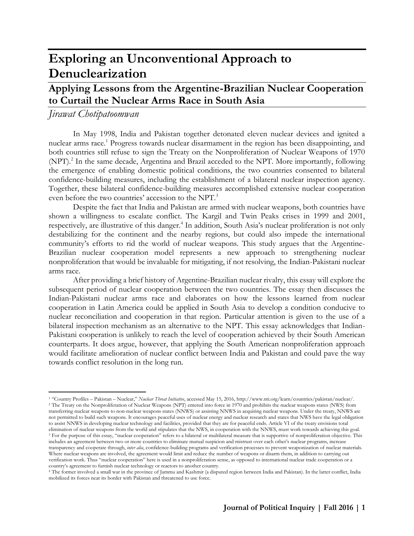# **Exploring an Unconventional Approach to Denuclearization**

# **Applying Lessons from the Argentine-Brazilian Nuclear Cooperation to Curtail the Nuclear Arms Race in South Asia**

# *Jirawat Chotipatoomwan*

 $\overline{a}$ 

In May 1998, India and Pakistan together detonated eleven nuclear devices and ignited a nuclear arms race.<sup>1</sup> Progress towards nuclear disarmament in the region has been disappointing, and both countries still refuse to sign the Treaty on the Nonproliferation of Nuclear Weapons of 1970 (NPT).<sup>2</sup> In the same decade, Argentina and Brazil acceded to the NPT. More importantly, following the emergence of enabling domestic political conditions, the two countries consented to bilateral confidence-building measures, including the establishment of a bilateral nuclear inspection agency. Together, these bilateral confidence-building measures accomplished extensive nuclear cooperation even before the two countries' accession to the NPT.<sup>3</sup>

Despite the fact that India and Pakistan are armed with nuclear weapons, both countries have shown a willingness to escalate conflict. The Kargil and Twin Peaks crises in 1999 and 2001, respectively, are illustrative of this danger.<sup>4</sup> In addition, South Asia's nuclear proliferation is not only destabilizing for the continent and the nearby regions, but could also impede the international community's efforts to rid the world of nuclear weapons. This study argues that the Argentine-Brazilian nuclear cooperation model represents a new approach to strengthening nuclear nonproliferation that would be invaluable for mitigating, if not resolving, the Indian-Pakistani nuclear arms race.

After providing a brief history of Argentine-Brazilian nuclear rivalry, this essay will explore the subsequent period of nuclear cooperation between the two countries. The essay then discusses the Indian-Pakistani nuclear arms race and elaborates on how the lessons learned from nuclear cooperation in Latin America could be applied in South Asia to develop a condition conducive to nuclear reconciliation and cooperation in that region. Particular attention is given to the use of a bilateral inspection mechanism as an alternative to the NPT. This essay acknowledges that Indian-Pakistani cooperation is unlikely to reach the level of cooperation achieved by their South American counterparts. It does argue, however, that applying the South American nonproliferation approach would facilitate amelioration of nuclear conflict between India and Pakistan and could pave the way towards conflict resolution in the long run.

<sup>1</sup> "Country Profiles – Pakistan – Nuclear," *Nuclear Threat Initiative*, accessed May 15, 2016[, http://www.nti.org/learn/countries/pakistan/nuclear/.](http://www.nti.org/learn/countries/pakistan/nuclear/) <sup>2</sup> The Treaty on the Nonproliferation of Nuclear Weapons (NPT) entered into force in 1970 and prohibits the nuclear weapons states (NWS) from transferring nuclear weapons to non-nuclear weapons states (NNWS) or assisting NNWS in acquiring nuclear weapons. Under the treaty, NNWS are not permitted to build such weapons. It encourages peaceful uses of nuclear energy and nuclear research and states that NWS have the legal obligation to assist NNWS in developing nuclear technology and facilities, provided that they are for peaceful ends. Article VI of the treaty envisions total elimination of nuclear weapons from the world and stipulates that the NWS, in cooperation with the NNWS, must work towards achieving this goal. <sup>3</sup> For the purpose of this essay, "nuclear cooperation" refers to a bilateral or multilateral measure that is supportive of nonproliferation objective. This includes an agreement between two or more countries to eliminate mutual suspicion and mistrust over each other's nuclear programs, increase transparency and cooperate through, *inter alia*, confidence-building programs and verification processes to prevent weaponization of nuclear materials. Where nuclear weapons are involved, the agreement would limit and reduce the number of weapons or disarm them, in addition to carrying out verification work. Thus "nuclear cooperation" here is used in a nonproliferation sense, as opposed to international nuclear trade cooperation or a country's agreement to furnish nuclear technology or reactors to another country.

<sup>4</sup> The former involved a small war in the province of Jammu and Kashmir (a disputed region between India and Pakistan). In the latter conflict, India mobilized its forces near its border with Pakistan and threatened to use force.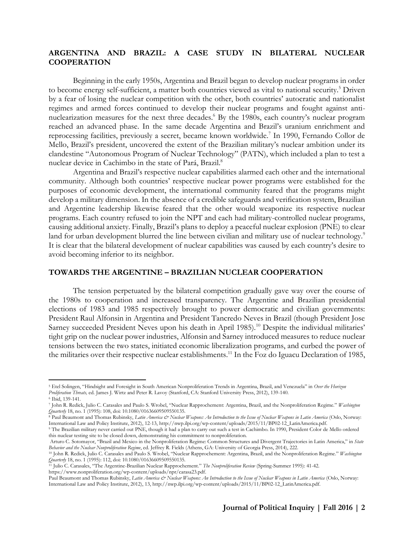## **ARGENTINA AND BRAZIL: A CASE STUDY IN BILATERAL NUCLEAR COOPERATION**

Beginning in the early 1950s, Argentina and Brazil began to develop nuclear programs in order to become energy self-sufficient, a matter both countries viewed as vital to national security.<sup>5</sup> Driven by a fear of losing the nuclear competition with the other, both countries' autocratic and nationalist regimes and armed forces continued to develop their nuclear programs and fought against antinuclearization measures for the next three decades. <sup>6</sup> By the 1980s, each country's nuclear program reached an advanced phase. In the same decade Argentina and Brazil's uranium enrichment and reprocessing facilities, previously a secret, became known worldwide.<sup>7</sup> In 1990, Fernando Collor de Mello, Brazil's president, uncovered the extent of the Brazilian military's nuclear ambition under its clandestine "Autonomous Program of Nuclear Technology" (PATN), which included a plan to test a nuclear device in Cachimbo in the state of Pará, Brazil.<sup>8</sup>

Argentina and Brazil's respective nuclear capabilities alarmed each other and the international community. Although both countries' respective nuclear power programs were established for the purposes of economic development, the international community feared that the programs might develop a military dimension. In the absence of a credible safeguards and verification system, Brazilian and Argentine leadership likewise feared that the other would weaponize its respective nuclear programs. Each country refused to join the NPT and each had military-controlled nuclear programs, causing additional anxiety. Finally, Brazil's plans to deploy a peaceful nuclear explosion (PNE) to clear land for urban development blurred the line between civilian and military use of nuclear technology.<sup>9</sup> It is clear that the bilateral development of nuclear capabilities was caused by each country's desire to avoid becoming inferior to its neighbor.

#### **TOWARDS THE ARGENTINE – BRAZILIAN NUCLEAR COOPERATION**

The tension perpetuated by the bilateral competition gradually gave way over the course of the 1980s to cooperation and increased transparency. The Argentine and Brazilian presidential elections of 1983 and 1985 respectively brought to power democratic and civilian governments: President Raul Alfonsin in Argentina and President Tancredo Neves in Brazil (though President Jose Sarney succeeded President Neves upon his death in April 1985).<sup>10</sup> Despite the individual militaries' tight grip on the nuclear power industries, Alfonsin and Sarney introduced measures to reduce nuclear tensions between the two states, initiated economic liberalization programs, and curbed the power of the militaries over their respective nuclear establishments.<sup>11</sup> In the Foz do Iguacu Declaration of 1985,

<sup>5</sup> Etel Solingen, "Hindsight and Foresight in South American Nonproliferation Trends in Argentina, Brazil, and Venezuela" in *Over the Horizon Proliferation Threats,* ed. James J. Wirtz and Peter R. Lavoy (Stanford, CA: Stanford University Press, 2012), 139-140.

<sup>6</sup> Ibid, 139-141.

<sup>7</sup> John R. Redick, Julio C. Carasales and Paulo S. Wrobel, "Nuclear Rapprochement: Argentina, Brazil, and the Nonproliferation Regime." *Washington Quarterly* 18, no. 1 (1995): 108, doi: 10.1080/01636609509550135.

<sup>8</sup> Paul Beaumont and Thomas Rubinsky, *Latin America & Nuclear Weapons: An Introduction to the Issue of Nuclear Weapons in Latin America* (Oslo, Norway: International Law and Policy Institute, 2012), 12-13[, http://nwp.ilpi.org/wp-content/uploads/2015/11/BP02-12\\_LatinAmerica.pdf.](http://nwp.ilpi.org/wp-content/uploads/2015/11/BP02-12_LatinAmerica.pdf)

<sup>9</sup> The Brazilian military never carried out PNE, though it had a plan to carry out such a test in Cachimbo. In 1990, President Color de Mello ordered this nuclear testing site to be closed down, demonstrating his commitment to nonproliferation.

Arturo C. Sotomayor, "Brazil and Mexico in the Nonproliferation Regime: Common Structures and Divergent Trajectories in Latin America," in *State Behavior and the Nuclear Nonproliferation Regime*, ed. Jeffrey R. Fields (Athens, GA: University of Georgia Press, 2014), 222.

<sup>10</sup> John R. Redick, Julio C. Carasales and Paulo S. Wrobel, "Nuclear Rapprochement: Argentina, Brazil, and the Nonproliferation Regime." *Washington Quarterly* 18, no. 1 (1995): 112, doi: 10.1080/01636609509550135.

<sup>11</sup> Julio C. Carasales, "The Argentine-Brazilian Nuclear Rapprochement." *The Nonproliferation Review* (Spring-Summer 1995): 41-42. [https://www.nonproliferation.org/wp-content/uploads/npr/carasa23.pdf.](https://www.nonproliferation.org/wp-content/uploads/npr/carasa23.pdf)

Paul Beaumont and Thomas Rubinsky, *Latin America & Nuclear Weapons: An Introduction to the Issue of Nuclear Weapons in Latin America* (Oslo, Norway: International Law and Policy Institute, 2012), 13[, http://nwp.ilpi.org/wp-content/uploads/2015/11/BP02-12\\_LatinAmerica.pdf.](http://nwp.ilpi.org/wp-content/uploads/2015/11/BP02-12_LatinAmerica.pdf)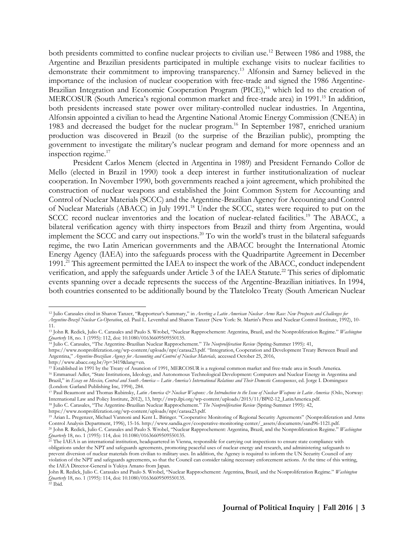both presidents committed to confine nuclear projects to civilian use.<sup>12</sup> Between 1986 and 1988, the Argentine and Brazilian presidents participated in multiple exchange visits to nuclear facilities to demonstrate their commitment to improving transparency.<sup>13</sup> Alfonsin and Sarney believed in the importance of the inclusion of nuclear cooperation with free-trade and signed the 1986 Argentine-Brazilian Integration and Economic Cooperation Program (PICE),<sup>14</sup> which led to the creation of MERCOSUR (South America's regional common market and free-trade area) in 1991.<sup>15</sup> In addition, both presidents increased state power over military-controlled nuclear industries. In Argentina, Alfonsin appointed a civilian to head the Argentine National Atomic Energy Commission (CNEA) in 1983 and decreased the budget for the nuclear program.<sup>16</sup> In September 1987, enriched uranium production was discovered in Brazil (to the surprise of the Brazilian public), prompting the government to investigate the military's nuclear program and demand for more openness and an inspection regime. $17$ 

President Carlos Menem (elected in Argentina in 1989) and President Fernando Collor de Mello (elected in Brazil in 1990) took a deep interest in further institutionalization of nuclear cooperation. In November 1990, both governments reached a joint agreement, which prohibited the construction of nuclear weapons and established the Joint Common System for Accounting and Control of Nuclear Materials (SCCC) and the Argentine-Brazilian Agency for Accounting and Control of Nuclear Materials (ABACC) in July 1991.<sup>18</sup> Under the SCCC, states were required to put on the SCCC record nuclear inventories and the location of nuclear-related facilities.<sup>19</sup> The ABACC, a bilateral verification agency with thirty inspectors from Brazil and thirty from Argentina, would implement the SCCC and carry out inspections.<sup>20</sup> To win the world's trust in the bilateral safeguards regime, the two Latin American governments and the ABACC brought the International Atomic Energy Agency (IAEA) into the safeguards process with the Quadripartite Agreement in December 1991.<sup>21</sup> This agreement permitted the IAEA to inspect the work of the ABACC, conduct independent verification, and apply the safeguards under Article 3 of the IAEA Statute.<sup>22</sup> This series of diplomatic events spanning over a decade represents the success of the Argentine-Brazilian initiatives. In 1994, both countries consented to be additionally bound by the Tlatelolco Treaty (South American Nuclear

<https://www.nonproliferation.org/wp-content/uploads/npr/carasa23.pdf>. "Integration, Cooperation and Development Treaty Between Brazil and Argentina," *Argentine-Brazilian Agency for Accounting and Control of Nuclear Materials,* accessed October 25, 2016,

https://www.nonproliferation.org/wp-content/uploads/npr/carasa23.pdf.

<sup>12</sup> Julio Carasales cited in Sharon Tanzer, "Rapporteur's Summary," in *Averting a Latin American Nuclear Arms Race: New Prospects and Challenges for Argentine-Brazil Nuclear Co-Operation*, ed. Paul L. Leventhal and Sharon Tanzer (New York: St. Martin's Press and Nuclear Control Institute, 1992), 10- 11.

<sup>13</sup> John R. Redick, Julio C. Carasales and Paulo S. Wrobel, "Nuclear Rapprochement: Argentina, Brazil, and the Nonproliferation Regime." *Washington Quarterly* 18, no. 1 (1995): 112, doi: 10.1080/01636609509550135.

<sup>14</sup> Julio C. Carasales, "The Argentine-Brazilian Nuclear Rapprochement." *The Nonproliferation Review* (Spring-Summer 1995): 41,

http://www.abacc.org.br/?p=3419&lang=en.

<sup>15</sup> Established in 1991 by the Treaty of Asuncion of 1991, MERCOSUR is a regional common market and free-trade area in South America. <sup>16</sup> Emmanuel Adler, "State Institutions, Ideology, and Autonomous Technological Development: Computers and Nuclear Energy in Argentina and Brazil," in *Essay on Mexico, Central and South America – Latin America's International Relations and Their Domestic Consequences*, ed. Jorge I. Dominguez (London: Garland Publishing Inc, 1994), 284.

<sup>&</sup>lt;sup>17</sup> Paul Beaumont and Thomas Rubinsky, *Latin America & Nuclear Weapons: An Introduction to the Issue of Nuclear Weapons in Latin America (Oslo, Norway:* International Law and Policy Institute, 2012), 13, http://nwp.ilpi.org/wp-content/uploads/2015/11/BP02-12\_LatinAmerica.pdf.

<sup>18</sup> Julio C. Carasales, "The Argentine-Brazilian Nuclear Rapprochement." *The Nonproliferation Review* (Spring-Summer 1995): 42,

<sup>19</sup> Arian L. Pregenzer, Michael Vannoni and Kent L. Biringer. "Cooperative Monitoring of Regional Security Agreements" (Nonproliferation and Arms Control Analysis Department, 1996), 15-16[. http://www.sandia.gov/cooperative-monitoring-center/\\_assets/documents/sand96-1121.pdf.](http://www.sandia.gov/cooperative-monitoring-center/_assets/documents/sand96-1121.pdf) <sup>20</sup> John R. Redick, Julio C. Carasales and Paulo S. Wrobel, "Nuclear Rapprochement: Argentina, Brazil, and the Nonproliferation Regime." *Washington Quarterly* 18, no. 1 (1995): 114, doi: 10.1080/01636609509550135.

<sup>&</sup>lt;sup>21</sup> The IAEA is an international institution, headquartered in Vienna, responsible for carrying out inspections to ensure state compliance with obligations under the NPT and safeguards agreements, promoting peaceful uses of nuclear energy and research, and administering safeguards to prevent diversion of nuclear materials from civilian to military uses. In addition, the Agency is required to inform the UN Security Council of any violation of the NPT and safeguards agreements, so that the Council can consider taking necessary enforcement actions. At the time of this writing, the IAEA Director-General is Yukiya Amano from Japan.

John R. Redick, Julio C. Carasales and Paulo S. Wrobel, "Nuclear Rapprochement: Argentina, Brazil, and the Nonproliferation Regime." *Washington Quarterly* 18, no. 1 (1995): 114, doi: 10.1080/01636609509550135.

<sup>22</sup> Ibid.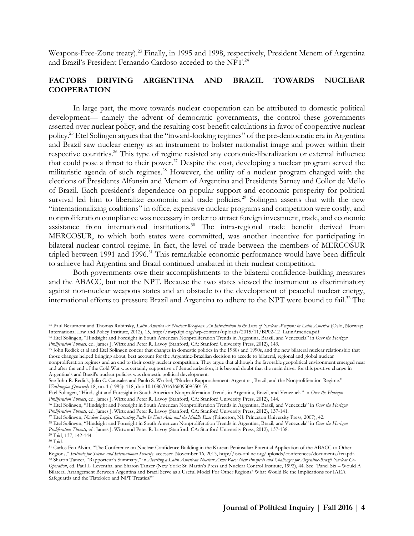Weapons-Free-Zone treaty).<sup>23</sup> Finally, in 1995 and 1998, respectively, President Menem of Argentina and Brazil's President Fernando Cardoso acceded to the NPT.<sup>24</sup>

## **FACTORS DRIVING ARGENTINA AND BRAZIL TOWARDS NUCLEAR COOPERATION**

In large part, the move towards nuclear cooperation can be attributed to domestic political development— namely the advent of democratic governments, the control these governments asserted over nuclear policy, and the resulting cost-benefit calculations in favor of cooperative nuclear policy.<sup>25</sup> Etel Solingen argues that the "inward-looking regimes" of the pre-democratic era in Argentina and Brazil saw nuclear energy as an instrument to bolster nationalist image and power within their respective countries.<sup>26</sup> This type of regime resisted any economic-liberalization or external influence that could pose a threat to their power.<sup>27</sup> Despite the cost, developing a nuclear program served the militaristic agenda of such regimes.<sup>28</sup> However, the utility of a nuclear program changed with the elections of Presidents Alfonsin and Menem of Argentina and Presidents Sarney and Collor de Mello of Brazil. Each president's dependence on popular support and economic prosperity for political survival led him to liberalize economic and trade policies.<sup>29</sup> Solingen asserts that with the new "internationalizing coalitions" in office, expensive nuclear programs and competition were costly, and nonproliferation compliance was necessary in order to attract foreign investment, trade, and economic assistance from international institutions.<sup>30</sup> The intra-regional trade benefit derived from MERCOSUR, to which both states were committed, was another incentive for participating in bilateral nuclear control regime. In fact, the level of trade between the members of MERCOSUR tripled between 1991 and 1996.<sup>31</sup> This remarkable economic performance would have been difficult to achieve had Argentina and Brazil continued unabated in their nuclear competition.

Both governments owe their accomplishments to the bilateral confidence-building measures and the ABACC, but not the NPT. Because the two states viewed the instrument as discriminatory against non-nuclear weapons states and an obstacle to the development of peaceful nuclear energy, international efforts to pressure Brazil and Argentina to adhere to the NPT were bound to fail.<sup>32</sup> The

<sup>23</sup> Paul Beaumont and Thomas Rubinsky, *Latin America & Nuclear Weapons: An Introduction to the Issue of Nuclear Weapons in Latin America* (Oslo, Norway: International Law and Policy Institute, 2012), 15[, http://nwp.ilpi.org/wp-content/uploads/2015/11/BP02-12\\_LatinAmerica.pdf.](http://nwp.ilpi.org/wp-content/uploads/2015/11/BP02-12_LatinAmerica.pdf)

<sup>24</sup> Etel Solingen, "Hindsight and Foresight in South American Nonproliferation Trends in Argentina, Brazil, and Venezuela" in *Over the Horizon Proliferation Threats,* ed. James J. Wirtz and Peter R. Lavoy (Stanford, CA: Stanford University Press, 2012), 143.

<sup>25</sup> John Redick et al and Etel Solingen concur that changes in domestic politics in the 1980s and 1990s, and the new bilateral nuclear relationship that those changes helped bringing about, best account for the Argentine-Brazilian decision to accede to bilateral, regional and global nuclear nonproliferation regimes and an end to their costly nuclear competition. They argue that although the favorable geopolitical environment emerged near and after the end of the Cold War was certainly supportive of denuclearization, it is beyond doubt that the main driver for this positive change in

Argentina's and Brazil's nuclear policies was domestic political development. See John R. Redick, Julio C. Carasales and Paulo S. Wrobel, "Nuclear Rapprochement: Argentina, Brazil, and the Nonproliferation Regime." *Washington Quarterly* 18, no. 1 (1995): 118, doi: 10.1080/01636609509550135;

Etel Solingen, "Hindsight and Foresight in South American Nonproliferation Trends in Argentina, Brazil, and Venezuela" in *Over the Horizon Proliferation Threats*, ed. James J. Wirtz and Peter R. Lavoy (Stanford, CA: Stanford University Press, 2012), 144.

<sup>26</sup> Etel Solingen, "Hindsight and Foresight in South American Nonproliferation Trends in Argentina, Brazil, and Venezuela" in *Over the Horizon Proliferation Threats,* ed. James J. Wirtz and Peter R. Lavoy (Stanford, CA: Stanford University Press, 2012), 137-141.

<sup>27</sup> Etel Solingen, *Nuclear Logics: Contrasting Paths In East Asia and the Middle East* (Princeton, NJ: Princeton University Press, 2007), 42.

<sup>28</sup> Etel Solingen, "Hindsight and Foresight in South American Nonproliferation Trends in Argentina, Brazil, and Venezuela" in *Over the Horizon Proliferation Threats,* ed. James J. Wirtz and Peter R. Lavoy (Stanford, CA: Stanford University Press, 2012), 137-138. <sup>29</sup> Ibid, 137, 142-144.

<sup>30</sup> Ibid.

<sup>31</sup> Carlos Feu Alvim, "The Conference on Nuclear Confidence Building in the Korean Peninsular: Potential Application of the ABACC to Other Regions," *Institute for Science and International Security*, accessed November 16, 2013, [http://isis-online.org/uploads/conferences/documents/feu.pdf.](http://isis-online.org/uploads/conferences/documents/feu.pdf)  <sup>32</sup> Sharon Tanzer, "Rapporteur's Summary," in *Averting a Latin American Nuclear Arms Race: New Prospects and Challenges for Argentine-Brazil Nuclear Co-Operation*, ed. Paul L. Leventhal and Sharon Tanzer (New York: St. Martin's Press and Nuclear Control Institute, 1992), 44. See "Panel Six – Would A Bilateral Arrangement Between Argentina and Brazil Serve as a Useful Model For Other Regions? What Would Be the Implications for IAEA Safeguards and the Tlatelolco and NPT Treaties?"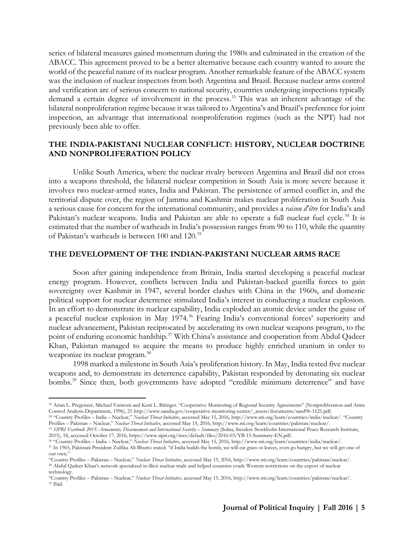series of bilateral measures gained momentum during the 1980s and culminated in the creation of the ABACC. This agreement proved to be a better alternative because each country wanted to assure the world of the peaceful nature of its nuclear program. Another remarkable feature of the ABACC system was the inclusion of nuclear inspectors from both Argentina and Brazil. Because nuclear arms control and verification are of serious concern to national security, countries undergoing inspections typically demand a certain degree of involvement in the process.<sup>33</sup> This was an inherent advantage of the bilateral nonproliferation regime because it was tailored to Argentina's and Brazil's preference for joint inspection, an advantage that international nonproliferation regimes (such as the NPT) had not previously been able to offer.

#### **THE INDIA-PAKISTANI NUCLEAR CONFLICT: HISTORY, NUCLEAR DOCTRINE AND NONPROLIFERATION POLICY**

Unlike South America, where the nuclear rivalry between Argentina and Brazil did not cross into a weapons threshold, the bilateral nuclear competition in South Asia is more severe because it involves two nuclear-armed states, India and Pakistan. The persistence of armed conflict in, and the territorial dispute over, the region of Jammu and Kashmir makes nuclear proliferation in South Asia a serious cause for concern for the international community, and provides a *raison d'être* for India's and Pakistan's nuclear weapons. India and Pakistan are able to operate a full nuclear fuel cycle.<sup>34</sup> It is estimated that the number of warheads in India's possession ranges from 90 to 110, while the quantity of Pakistan's warheads is between 100 and 120.<sup>35</sup>

#### **THE DEVELOPMENT OF THE INDIAN-PAKISTANI NUCLEAR ARMS RACE**

Soon after gaining independence from Britain, India started developing a peaceful nuclear energy program. However, conflicts between India and Pakistan-backed guerilla forces to gain sovereignty over Kashmir in 1947, several border clashes with China in the 1960s, and domestic political support for nuclear deterrence stimulated India's interest in conducting a nuclear explosion. In an effort to demonstrate its nuclear capability, India exploded an atomic device under the guise of a peaceful nuclear explosion in May 1974.<sup>36</sup> Fearing India's conventional forces' superiority and nuclear advancement, Pakistan reciprocated by accelerating its own nuclear weapons program, to the point of enduring economic hardship.<sup>37</sup> With China's assistance and cooperation from Abdul Qadeer Khan, Pakistan managed to acquire the means to produce highly enriched uranium in order to weaponize its nuclear program.<sup>38</sup>

1998 marked a milestone in South Asia's proliferation history. In May, India tested five nuclear weapons and, to demonstrate its deterrence capability, Pakistan responded by detonating six nuclear bombs.<sup>39</sup> Since then, both governments have adopted "credible minimum deterrence" and have

Profiles – Pakistan – Nuclear," *Nuclear Threat Initiative*, accessed May 15, 2016, http://www.nti.org/learn/countries/pakistan/nuclear/. <sup>35</sup> SIPRI Yearbook 2015: Armaments, Disarmament and International Security – Summary (Solna, Sweden: Stockholm International Peace Research Institute,

2015), 18, accessed October 17, 2016, https://www.sipri.org/sites/default/files/2016-03/YB-15-Summary-EN.pdf.

<sup>36</sup> "Country Profiles – India – Nuclear," *Nuclear Threat Initiative*, accessed May 15, 2016[, http://www.nti.org/learn/countries/india/nuclear/.](http://www.nti.org/learn/countries/india/nuclear/)

<sup>33</sup> Arian L. Pregenzer, Michael Vannoni and Kent L. Biringer. "Cooperative Monitoring of Regional Security Agreements" (Nonproliferation and Arms Control Analysis Department, 1996), 21 [http://www.sandia.gov/cooperative-monitoring-center/\\_assets/documents/sand96-1121.pdf.](http://www.sandia.gov/cooperative-monitoring-center/_assets/documents/sand96-1121.pdf) <sup>34</sup> "Country Profiles – India – Nuclear," *Nuclear Threat Initiative*, accessed May 15, 2016, http://www.nti.org/learn/countries/india/nuclear/. "Country

<sup>37</sup> In 1965, Pakistani President Zulfika Ali Bhutto stated: "if India builds the bomb, we will eat grass or leaves, even go hungry, but we will get one of our own.'

<sup>&</sup>quot;Country Profiles – Pakistan – Nuclear," *Nuclear Threat Initiative*, accessed May 15, 2016[, http://www.nti.org/learn/countries/pakistan/nuclear/.](http://www.nti.org/learn/countries/pakistan/nuclear/) <sup>38</sup> Abdul Qadeer Khan's network specialized in illicit nuclear trade and helped countries evade Western restrictions on the export of nuclear technology.

<sup>&</sup>quot;Country Profiles – Pakistan – Nuclear," *Nuclear Threat Initiative*, accessed May 15, 2016[, http://www.nti.org/learn/countries/pakistan/nuclear/.](http://www.nti.org/learn/countries/pakistan/nuclear/) <sup>39</sup> Ibid.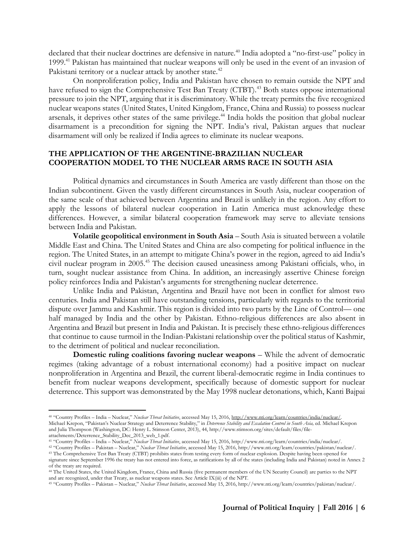declared that their nuclear doctrines are defensive in nature.<sup>40</sup> India adopted a "no-first-use" policy in 1999.<sup>41</sup> Pakistan has maintained that nuclear weapons will only be used in the event of an invasion of Pakistani territory or a nuclear attack by another state.<sup>42</sup>

On nonproliferation policy, India and Pakistan have chosen to remain outside the NPT and have refused to sign the Comprehensive Test Ban Treaty (CTBT).<sup>43</sup> Both states oppose international pressure to join the NPT, arguing that it is discriminatory. While the treaty permits the five recognized nuclear weapons states (United States, United Kingdom, France, China and Russia) to possess nuclear arsenals, it deprives other states of the same privilege.<sup>44</sup> India holds the position that global nuclear disarmament is a precondition for signing the NPT. India's rival, Pakistan argues that nuclear disarmament will only be realized if India agrees to eliminate its nuclear weapons.

#### **THE APPLICATION OF THE ARGENTINE-BRAZILIAN NUCLEAR COOPERATION MODEL TO THE NUCLEAR ARMS RACE IN SOUTH ASIA**

Political dynamics and circumstances in South America are vastly different than those on the Indian subcontinent. Given the vastly different circumstances in South Asia, nuclear cooperation of the same scale of that achieved between Argentina and Brazil is unlikely in the region. Any effort to apply the lessons of bilateral nuclear cooperation in Latin America must acknowledge these differences. However, a similar bilateral cooperation framework may serve to alleviate tensions between India and Pakistan.

**Volatile geopolitical environment in South Asia** *–* South Asia is situated between a volatile Middle East and China. The United States and China are also competing for political influence in the region. The United States, in an attempt to mitigate China's power in the region, agreed to aid India's civil nuclear program in 2005.<sup>45</sup> The decision caused uneasiness among Pakistani officials, who, in turn, sought nuclear assistance from China. In addition, an increasingly assertive Chinese foreign policy reinforces India and Pakistan's arguments for strengthening nuclear deterrence.

Unlike India and Pakistan, Argentina and Brazil have not been in conflict for almost two centuries. India and Pakistan still have outstanding tensions, particularly with regards to the territorial dispute over Jammu and Kashmir. This region is divided into two parts by the Line of Control— one half managed by India and the other by Pakistan. Ethno-religious differences are also absent in Argentina and Brazil but present in India and Pakistan. It is precisely these ethno-religious differences that continue to cause turmoil in the Indian-Pakistani relationship over the political status of Kashmir, to the detriment of political and nuclear reconciliation.

**Domestic ruling coalitions favoring nuclear weapons** *–* While the advent of democratic regimes (taking advantage of a robust international economy) had a positive impact on nuclear nonproliferation in Argentina and Brazil, the current liberal-democratic regime in India continues to benefit from nuclear weapons development, specifically because of domestic support for nuclear deterrence. This support was demonstrated by the May 1998 nuclear detonations, which, Kanti Bajpai

<sup>40</sup> "Country Profiles – India – Nuclear," *Nuclear Threat Initiative*, accessed May 15, 2016[, http://www.nti.org/learn/countries/india/nuclear/.](http://www.nti.org/learn/countries/india/nuclear/)  Michael Krepon, "Pakistan's Nuclear Strategy and Deterrence Stability," in *Deterrence Stability and Escalation Control in South Asia,* ed. Michael Krepon and Julia Thompson (Washington, DC: Henry L. Stimson Center, 2013), 44, http://www.stimson.org/sites/default/files/fileattachments/Deterrence\_Stability\_Dec\_2013\_web\_1.pdf.

<sup>41</sup> "Country Profiles – India – Nuclear," *Nuclear Threat Initiative*, accessed May 15, 2016[, http://www.nti.org/learn/countries/india/nuclear/.](http://www.nti.org/learn/countries/india/nuclear/)

<sup>42</sup> "Country Profiles – Pakistan – Nuclear," *Nuclear Threat Initiative*, accessed May 15, 2016[, http://www.nti.org/learn/countries/pakistan/nuclear/.](http://www.nti.org/learn/countries/pakistan/nuclear/)

<sup>43</sup> The Comprehensive Test Ban Treaty (CTBT) prohibits states from testing every form of nuclear explosion. Despite having been opened for signature since September 1996 the treaty has not entered into force, as ratifications by all of the states (including India and Pakistan) noted in Annex 2

of the treaty are required. <sup>44</sup> The United States, the United Kingdom, France, China and Russia (five permanent members of the UN Security Council) are parties to the NPT

and are recognized, under that Treaty, as nuclear weapons states. See Article IX(iii) of the NPT.

<sup>45</sup> "Country Profiles – Pakistan – Nuclear," *Nuclear Threat Initiative*, accessed May 15, 2016[, http://www.nti.org/learn/countries/pakistan/nuclear/.](http://www.nti.org/learn/countries/pakistan/nuclear/)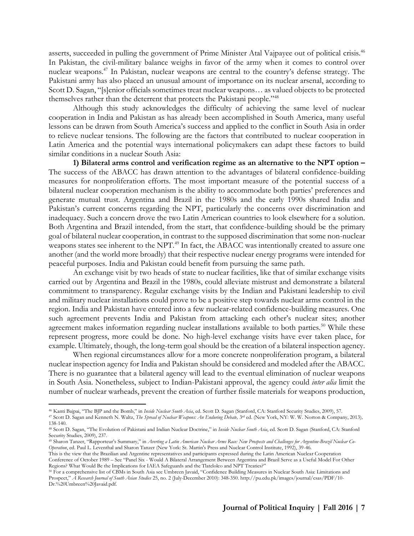asserts, succeeded in pulling the government of Prime Minister Atal Vajpayee out of political crisis.<sup>46</sup> In Pakistan, the civil-military balance weighs in favor of the army when it comes to control over nuclear weapons.<sup>47</sup> In Pakistan, nuclear weapons are central to the country's defense strategy. The Pakistani army has also placed an unusual amount of importance on its nuclear arsenal, according to Scott D. Sagan, "[s]enior officials sometimes treat nuclear weapons… as valued objects to be protected themselves rather than the deterrent that protects the Pakistani people."<sup>48</sup>

Although this study acknowledges the difficulty of achieving the same level of nuclear cooperation in India and Pakistan as has already been accomplished in South America, many useful lessons can be drawn from South America's success and applied to the conflict in South Asia in order to relieve nuclear tensions. The following are the factors that contributed to nuclear cooperation in Latin America and the potential ways international policymakers can adapt these factors to build similar conditions in a nuclear South Asia:

**1) Bilateral arms control and verification regime as an alternative to the NPT option –** The success of the ABACC has drawn attention to the advantages of bilateral confidence-building measures for nonproliferation efforts. The most important measure of the potential success of a bilateral nuclear cooperation mechanism is the ability to accommodate both parties' preferences and generate mutual trust. Argentina and Brazil in the 1980s and the early 1990s shared India and Pakistan's current concerns regarding the NPT, particularly the concerns over discrimination and inadequacy. Such a concern drove the two Latin American countries to look elsewhere for a solution. Both Argentina and Brazil intended, from the start, that confidence-building should be the primary goal of bilateral nuclear cooperation, in contrast to the supposed discrimination that some non-nuclear weapons states see inherent to the NPT.<sup>49</sup> In fact, the ABACC was intentionally created to assure one another (and the world more broadly) that their respective nuclear energy programs were intended for peaceful purposes. India and Pakistan could benefit from pursuing the same path.

An exchange visit by two heads of state to nuclear facilities, like that of similar exchange visits carried out by Argentina and Brazil in the 1980s, could alleviate mistrust and demonstrate a bilateral commitment to transparency. Regular exchange visits by the Indian and Pakistani leadership to civil and military nuclear installations could prove to be a positive step towards nuclear arms control in the region. India and Pakistan have entered into a few nuclear-related confidence-building measures. One such agreement prevents India and Pakistan from attacking each other's nuclear sites; another agreement makes information regarding nuclear installations available to both parties.<sup>50</sup> While these represent progress, more could be done. No high-level exchange visits have ever taken place, for example. Ultimately, though, the long-term goal should be the creation of a bilateral inspection agency.

When regional circumstances allow for a more concrete nonproliferation program, a bilateral nuclear inspection agency for India and Pakistan should be considered and modeled after the ABACC. There is no guarantee that a bilateral agency will lead to the eventual elimination of nuclear weapons in South Asia. Nonetheless, subject to Indian-Pakistani approval, the agency could *inter alia* limit the number of nuclear warheads, prevent the creation of further fissile materials for weapons production,

<sup>46</sup> Kanti Bajpai, "The BJP and the Bomb," in *Inside Nuclear South Asia*, ed. Scott D. Sagan (Stanford, CA: Stanford Security Studies, 2009), 57. <sup>47</sup> Scott D. Sagan and Kenneth N. Waltz, *The Spread of Nuclear Weapons: An Enduring Debate,* 3 rd ed. (New York, NY: W. W. Norton & Company, 2013)*,* 138-140.

<sup>48</sup> Scott D. Sagan, "The Evolution of Pakistani and Indian Nuclear Doctrine," in *Inside Nuclear South Asia*, ed. Scott D. Sagan (Stanford, CA: Stanford Security Studies, 2009), 237.

<sup>49</sup> Sharon Tanzer, "Rapporteur's Summary," in *Averting a Latin American Nuclear Arms Race: New Prospects and Challenges for Argentine-Brazil Nuclear Co-Operation*, ed. Paul L. Leventhal and Sharon Tanzer (New York: St. Martin's Press and Nuclear Control Institute, 1992), 39-46.

This is the view that the Brazilian and Argentine representatives and participants expressed during the Latin American Nuclear Cooperation Conference of October 1989 – See "Panel Six - Would A Bilateral Arrangement Between Argentina and Brazil Serve as a Useful Model For Other Regions? What Would Be the Implications for IAEA Safeguards and the Tlatelolco and NPT Treaties?"

<sup>50</sup> For a comprehensive list of CBMs in South Asia see Umbreen Javaid, "Confidence Building Measures in Nuclear South Asia: Limitations and Prospect," *A Research Journal of South Asian Studies* 25, no. 2 (July-December 2010): 348-350. http://pu.edu.pk/images/journal/csas/PDF/10- Dr.%20Umbreen%20Javaid.pdf.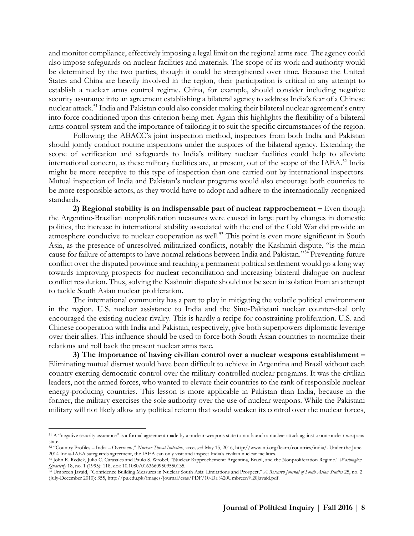and monitor compliance, effectively imposing a legal limit on the regional arms race. The agency could also impose safeguards on nuclear facilities and materials. The scope of its work and authority would be determined by the two parties, though it could be strengthened over time. Because the United States and China are heavily involved in the region, their participation is critical in any attempt to establish a nuclear arms control regime. China, for example, should consider including negative security assurance into an agreement establishing a bilateral agency to address India's fear of a Chinese nuclear attack.<sup>51</sup> India and Pakistan could also consider making their bilateral nuclear agreement's entry into force conditioned upon this criterion being met. Again this highlights the flexibility of a bilateral arms control system and the importance of tailoring it to suit the specific circumstances of the region.

Following the ABACC's joint inspection method, inspectors from both India and Pakistan should jointly conduct routine inspections under the auspices of the bilateral agency. Extending the scope of verification and safeguards to India's military nuclear facilities could help to alleviate international concern, as these military facilities are, at present, out of the scope of the IAEA. $^{52}$  India might be more receptive to this type of inspection than one carried out by international inspectors. Mutual inspection of India and Pakistan's nuclear programs would also encourage both countries to be more responsible actors, as they would have to adopt and adhere to the internationally-recognized standards.

**2) Regional stability is an indispensable part of nuclear rapprochement –** Even though the Argentine-Brazilian nonproliferation measures were caused in large part by changes in domestic politics, the increase in international stability associated with the end of the Cold War did provide an atmosphere conducive to nuclear cooperation as well.<sup>53</sup> This point is even more significant in South Asia, as the presence of unresolved militarized conflicts, notably the Kashmiri dispute, "is the main cause for failure of attempts to have normal relations between India and Pakistan."<sup>54</sup> Preventing future conflict over the disputed province and reaching a permanent political settlement would go a long way towards improving prospects for nuclear reconciliation and increasing bilateral dialogue on nuclear conflict resolution. Thus, solving the Kashmiri dispute should not be seen in isolation from an attempt to tackle South Asian nuclear proliferation.

The international community has a part to play in mitigating the volatile political environment in the region. U.S. nuclear assistance to India and the Sino-Pakistani nuclear counter-deal only encouraged the existing nuclear rivalry. This is hardly a recipe for constraining proliferation. U.S. and Chinese cooperation with India and Pakistan, respectively, give both superpowers diplomatic leverage over their allies. This influence should be used to force both South Asian countries to normalize their relations and roll back the present nuclear arms race.

**3) The importance of having civilian control over a nuclear weapons establishment –** Eliminating mutual distrust would have been difficult to achieve in Argentina and Brazil without each country exerting democratic control over the military-controlled nuclear programs. It was the civilian leaders, not the armed forces, who wanted to elevate their countries to the rank of responsible nuclear energy-producing countries. This lesson is more applicable in Pakistan than India, because in the former, the military exercises the sole authority over the use of nuclear weapons. While the Pakistani military will not likely allow any political reform that would weaken its control over the nuclear forces,

 $\overline{a}$ <sup>51</sup> A "negative security assurance" is a formal agreement made by a nuclear-weapons state to not launch a nuclear attack against a non-nuclear weapons state.

<sup>52</sup> "Country Profiles – India – Overview," *Nuclear Threat Initiative*, accessed May 15, 2016, [http://www.nti.org/learn/countries/india/.](http://www.nti.org/learn/countries/india/) Under the June 2014 India-IAEA safeguards agreement, the IAEA can only visit and inspect India's civilian nuclear facilities.

<sup>53</sup> John R. Redick, Julio C. Carasales and Paulo S. Wrobel, "Nuclear Rapprochement: Argentina, Brazil, and the Nonproliferation Regime." *Washington Quarterly* 18, no. 1 (1995): 118, doi: 10.1080/01636609509550135.

<sup>54</sup> Umbreen Javaid, "Confidence Building Measures in Nuclear South Asia: Limitations and Prospect," *A Research Journal of South Asian Studies* 25, no. 2 (July-December 2010): 355, http://pu.edu.pk/images/journal/csas/PDF/10-Dr.%20Umbreen%20Javaid.pdf.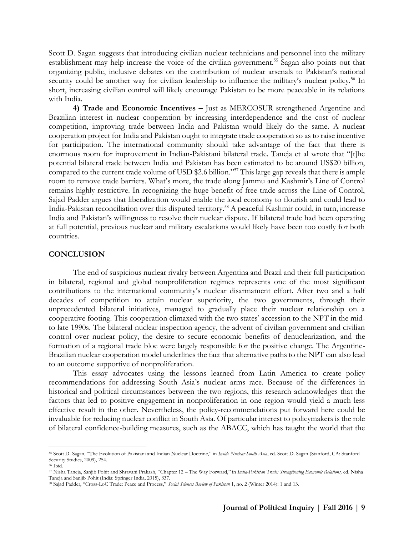Scott D. Sagan suggests that introducing civilian nuclear technicians and personnel into the military establishment may help increase the voice of the civilian government.<sup>55</sup> Sagan also points out that organizing public, inclusive debates on the contribution of nuclear arsenals to Pakistan's national security could be another way for civilian leadership to influence the military's nuclear policy.<sup>56</sup> In short, increasing civilian control will likely encourage Pakistan to be more peaceable in its relations with India.

**4) Trade and Economic Incentives –** Just as MERCOSUR strengthened Argentine and Brazilian interest in nuclear cooperation by increasing interdependence and the cost of nuclear competition, improving trade between India and Pakistan would likely do the same. A nuclear cooperation project for India and Pakistan ought to integrate trade cooperation so as to raise incentive for participation. The international community should take advantage of the fact that there is enormous room for improvement in Indian-Pakistani bilateral trade. Taneja et al wrote that "[t]he potential bilateral trade between India and Pakistan has been estimated to be around US\$20 billion, compared to the current trade volume of USD \$2.6 billion."<sup>57</sup> This large gap reveals that there is ample room to remove trade barriers. What's more, the trade along Jammu and Kashmir's Line of Control remains highly restrictive. In recognizing the huge benefit of free trade across the Line of Control, Sajad Padder argues that liberalization would enable the local economy to flourish and could lead to India-Pakistan reconciliation over this disputed territory.<sup>58</sup> A peaceful Kashmir could, in turn, increase India and Pakistan's willingness to resolve their nuclear dispute. If bilateral trade had been operating at full potential, previous nuclear and military escalations would likely have been too costly for both countries.

#### **CONCLUSION**

The end of suspicious nuclear rivalry between Argentina and Brazil and their full participation in bilateral, regional and global nonproliferation regimes represents one of the most significant contributions to the international community's nuclear disarmament effort. After two and a half decades of competition to attain nuclear superiority, the two governments, through their unprecedented bilateral initiatives, managed to gradually place their nuclear relationship on a cooperative footing. This cooperation climaxed with the two states' accession to the NPT in the midto late 1990s. The bilateral nuclear inspection agency, the advent of civilian government and civilian control over nuclear policy, the desire to secure economic benefits of denuclearization, and the formation of a regional trade bloc were largely responsible for the positive change. The Argentine-Brazilian nuclear cooperation model underlines the fact that alternative paths to the NPT can also lead to an outcome supportive of nonproliferation.

This essay advocates using the lessons learned from Latin America to create policy recommendations for addressing South Asia's nuclear arms race. Because of the differences in historical and political circumstances between the two regions, this research acknowledges that the factors that led to positive engagement in nonproliferation in one region would yield a much less effective result in the other. Nevertheless, the policy-recommendations put forward here could be invaluable for reducing nuclear conflict in South Asia. Of particular interest to policymakers is the role of bilateral confidence-building measures, such as the ABACC, which has taught the world that the

<sup>55</sup> Scott D. Sagan, "The Evolution of Pakistani and Indian Nuclear Doctrine," in *Inside Nuclear South Asia*, ed. Scott D. Sagan (Stanford, CA: Stanford Security Studies, 2009), 254.

<sup>56</sup> Ibid.

<sup>57</sup> Nisha Taneja, Sanjib Pohit and Shravani Prakash, "Chapter 12 – The Way Forward," in *India-Pakistan Trade: Strengthening Economic Relations,* ed. Nisha Taneja and Sanjib Pohit (India: Springer India, 2015), 337.

<sup>58</sup> Sajad Padder, "Cross-LoC Trade: Peace and Process," *Social Sciences Review of Pakistan* 1, no. 2 (Winter 2014): 1 and 13.